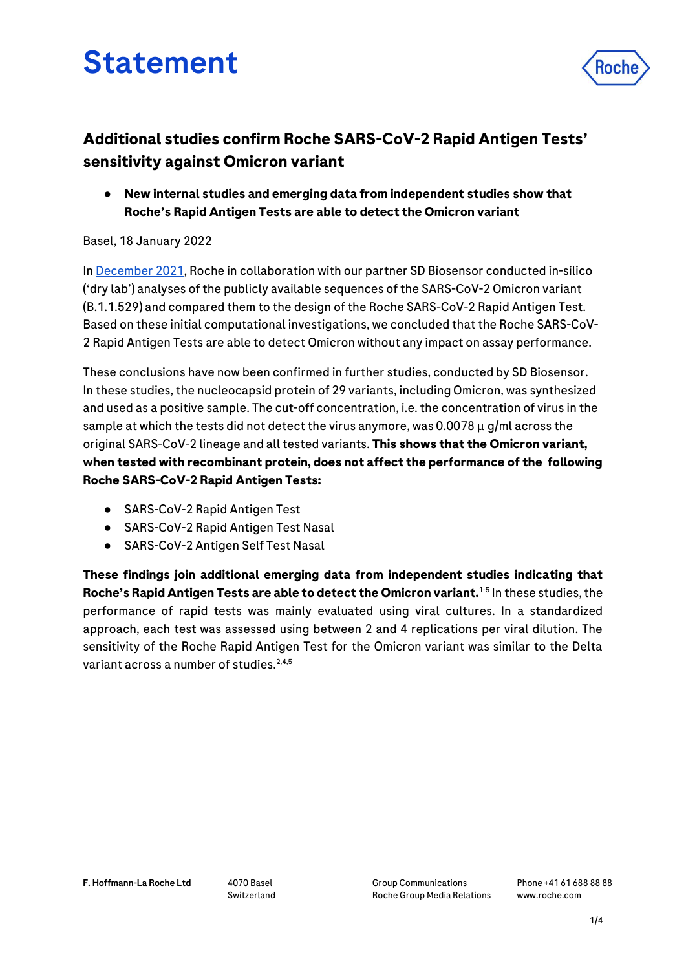# Statement



● **New internal studies and emerging data from independent studies show that Roche's Rapid Antigen Tests are able to detect the Omicron variant**

## Basel, 18 January 2022

I[n December 2021,](https://www.roche.com/dam/jcr:0fe6a722-c127-4ed0-b6e8-0a7bd7d31ba9/en/reactive-media-statement-in-response-to-new-omicron-variant-of-covid-19.pdf) Roche in collaboration with our partner SD Biosensor conducted in-silico ('dry lab') analyses of the publicly available sequences of the SARS-CoV-2 Omicron variant (B.1.1.529) and compared them to the design of the Roche SARS-CoV-2 Rapid Antigen Test. Based on these initial computational investigations, we concluded that the Roche SARS-CoV-2 Rapid Antigen Tests are able to detect Omicron without any impact on assay performance.

These conclusions have now been confirmed in further studies, conducted by SD Biosensor. In these studies, the nucleocapsid protein of 29 variants, including Omicron, was synthesized and used as a positive sample. The cut-off concentration, i.e. the concentration of virus in the sample at which the tests did not detect the virus anymore, was 0.0078  $\mu$  g/ml across the original SARS-CoV-2 lineage and all tested variants. **This shows that the Omicron variant, when tested with recombinant protein, does not affect the performance of the following Roche SARS-CoV-2 Rapid Antigen Tests:** 

- SARS-CoV-2 Rapid Antigen Test
- SARS-CoV-2 Rapid Antigen Test Nasal
- SARS-CoV-2 Antigen Self Test Nasal

**These findings join additional emerging data from independent studies indicating that Roche's Rapid Antigen Tests are able to detect the Omicron variant.**1-5 In these studies, the performance of rapid tests was mainly evaluated using viral cultures. In a standardized approach, each test was assessed using between 2 and 4 replications per viral dilution. The sensitivity of the Roche Rapid Antigen Test for the Omicron variant was similar to the Delta variant across a number of studies. $2,4,5$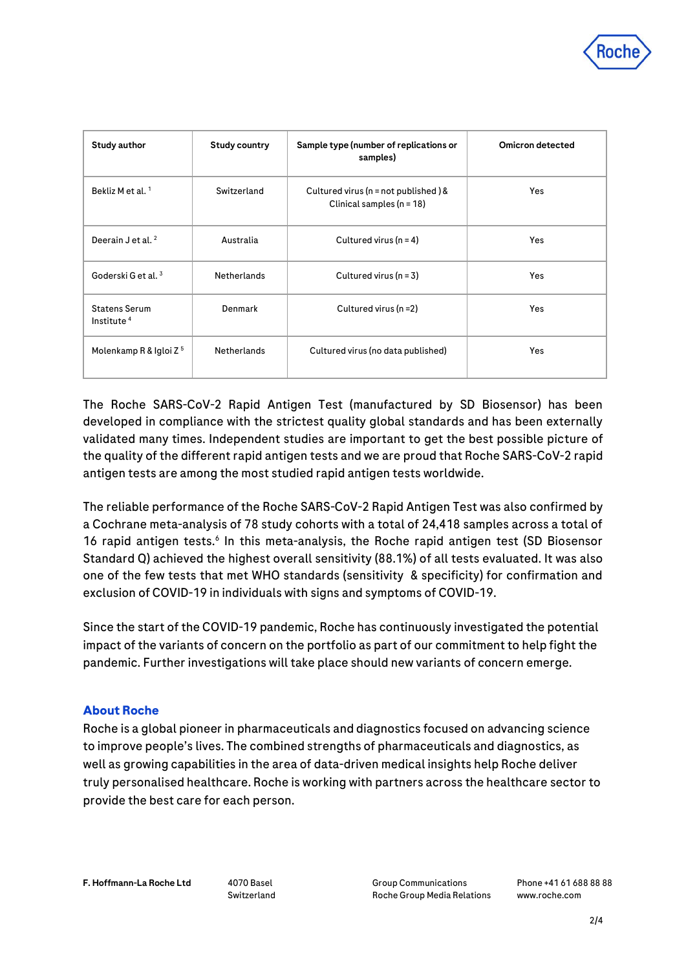

| Study author                                   | Study country      | Sample type (number of replications or<br>samples)                     | Omicron detected |
|------------------------------------------------|--------------------|------------------------------------------------------------------------|------------------|
| Bekliz M et al. <sup>1</sup>                   | Switzerland        | Cultured virus ( $n = not$ published) &<br>Clinical samples $(n = 18)$ | <b>Yes</b>       |
| Deerain J et al. $2$                           | Australia          | Cultured virus $(n = 4)$                                               | <b>Yes</b>       |
| Goderski G et al. <sup>3</sup>                 | <b>Netherlands</b> | Cultured virus $(n = 3)$                                               | <b>Yes</b>       |
| <b>Statens Serum</b><br>Institute <sup>4</sup> | Denmark            | Cultured virus (n =2)                                                  | <b>Yes</b>       |
| Molenkamp R & Igloi Z <sup>5</sup>             | <b>Netherlands</b> | Cultured virus (no data published)                                     | <b>Yes</b>       |

The Roche SARS-CoV-2 Rapid Antigen Test (manufactured by SD Biosensor) has been developed in compliance with the strictest quality global standards and has been externally validated many times. Independent studies are important to get the best possible picture of the quality of the different rapid antigen tests and we are proud that Roche SARS-CoV-2 rapid antigen tests are among the most studied rapid antigen tests worldwide.

The reliable performance of the Roche SARS-CoV-2 Rapid Antigen Test was also confirmed by a Cochrane meta-analysis of 78 study cohorts with a total of 24,418 samples across a total of 16 rapid antigen tests.<sup>6</sup> In this meta-analysis, the Roche rapid antigen test (SD Biosensor Standard Q) achieved the highest overall sensitivity (88.1%) of all tests evaluated. It was also one of the few tests that met WHO standards (sensitivity & specificity) for confirmation and exclusion of COVID-19 in individuals with signs and symptoms of COVID-19.

Since the start of the COVID-19 pandemic, Roche has continuously investigated the potential impact of the variants of concern on the portfolio as part of our commitment to help fight the pandemic. Further investigations will take place should new variants of concern emerge.

### **About Roche**

Roche is a global pioneer in pharmaceuticals and diagnostics focused on advancing science to improve people's lives. The combined strengths of pharmaceuticals and diagnostics, as well as growing capabilities in the area of data-driven medical insights help Roche deliver truly personalised healthcare. Roche is working with partners across the healthcare sector to provide the best care for each person.

Switzerland

Group Communications Roche Group Media Relations Phone +41 61 688 88 88 [www.roche.com](http://www.roche.com/)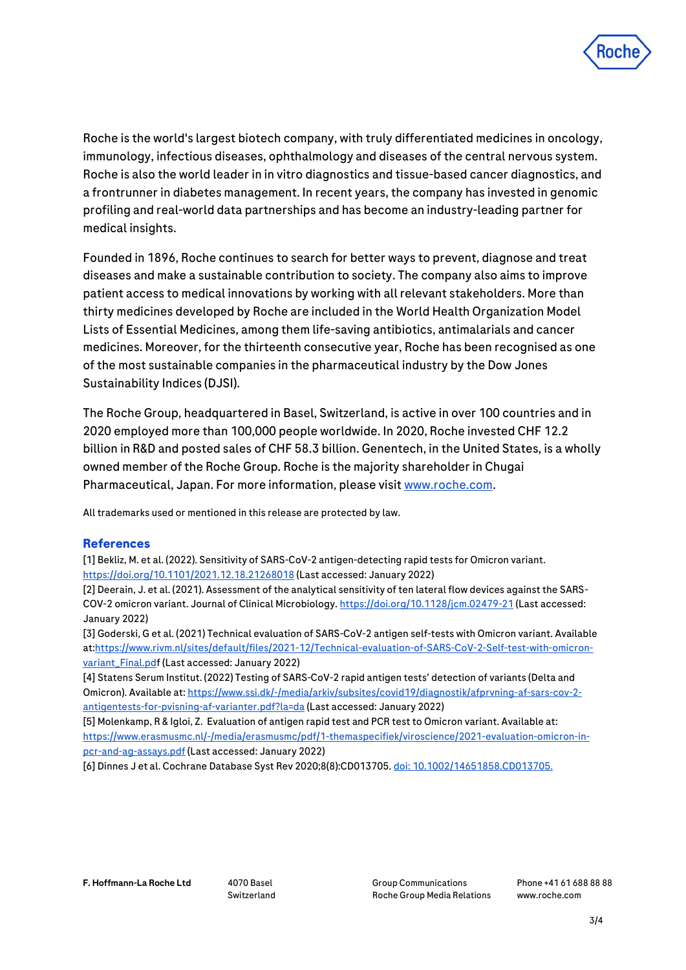

Roche is the world's largest biotech company, with truly differentiated medicines in oncology, immunology, infectious diseases, ophthalmology and diseases of the central nervous system. Roche is also the world leader in in vitro diagnostics and tissue-based cancer diagnostics, and a frontrunner in diabetes management. In recent years, the company has invested in genomic profiling and real-world data partnerships and has become an industry-leading partner for medical insights.

Founded in 1896, Roche continues to search for better ways to prevent, diagnose and treat diseases and make a sustainable contribution to society. The company also aims to improve patient access to medical innovations by working with all relevant stakeholders. More than thirty medicines developed by Roche are included in the World Health Organization Model Lists of Essential Medicines, among them life-saving antibiotics, antimalarials and cancer medicines. Moreover, for the thirteenth consecutive year, Roche has been recognised as one of the most sustainable companies in the pharmaceutical industry by the Dow Jones Sustainability Indices (DJSI).

The Roche Group, headquartered in Basel, Switzerland, is active in over 100 countries and in 2020 employed more than 100,000 people worldwide. In 2020, Roche invested CHF 12.2 billion in R&D and posted sales of CHF 58.3 billion. Genentech, in the United States, is a wholly owned member of the Roche Group. Roche is the majority shareholder in Chugai Pharmaceutical, Japan. For more information, please visit [www.roche.com.](http://www.roche.com/)

All trademarks used or mentioned in this release are protected by law.

### **References**

[1] Bekliz, M. et al. (2022). Sensitivity of SARS-CoV-2 antigen-detecting rapid tests for Omicron variant. <https://doi.org/10.1101/2021.12.18.21268018> (Last accessed: January 2022)

[2] Deerain, J. et al. (2021). Assessment of the analytical sensitivity of ten lateral flow devices against the SARS-COV-2 omicron variant. Journal of Clinical Microbiology[. https://doi.org/10.1128/jcm.02479-21](https://doi.org/10.1128/jcm.02479-21) (Last accessed: January 2022)

[3] Goderski, G et al. (2021) Technical evaluation of SARS-CoV-2 antigen self-tests with Omicron variant. Available a[t:https://www.rivm.nl/sites/default/files/2021-12/Technical-evaluation-of-SARS-CoV-2-Self-test-with-omicron](https://www.rivm.nl/sites/default/files/2021-12/Technical-evaluation-of-SARS-CoV-2-Self-test-with-omicron-variant_Final.pd)[variant\\_Final.pdf](https://www.rivm.nl/sites/default/files/2021-12/Technical-evaluation-of-SARS-CoV-2-Self-test-with-omicron-variant_Final.pd) (Last accessed: January 2022)

[4] Statens Serum Institut. (2022) Testing of SARS-CoV-2 rapid antigen tests' detection of variants (Delta and Omicron). Available at[: https://www.ssi.dk/-/media/arkiv/subsites/covid19/diagnostik/afprvning-af-sars-cov-2](https://www.ssi.dk/-/media/arkiv/subsites/covid19/diagnostik/afprvning-af-sars-cov-2-antigentests-for-pvisning-af-varianter.pdf?la=da) [antigentests-for-pvisning-af-varianter.pdf?la=da](https://www.ssi.dk/-/media/arkiv/subsites/covid19/diagnostik/afprvning-af-sars-cov-2-antigentests-for-pvisning-af-varianter.pdf?la=da) (Last accessed: January 2022)

[5] Molenkamp, R & Igloi, Z. Evaluation of antigen rapid test and PCR test to Omicron variant. Available at: [https://www.erasmusmc.nl/-/media/erasmusmc/pdf/1-themaspecifiek/viroscience/2021-evaluation-omicron-in](https://www.erasmusmc.nl/-/media/erasmusmc/pdf/1-themaspecifiek/viroscience/2021-evaluation-omicron-in-pcr-and-ag-assays.pdf)[pcr-and-ag-assays.pdf](https://www.erasmusmc.nl/-/media/erasmusmc/pdf/1-themaspecifiek/viroscience/2021-evaluation-omicron-in-pcr-and-ag-assays.pdf) (Last accessed: January 2022)

[6] Dinnes J et al. Cochrane Database Syst Rev 2020;8(8):CD013705[. doi: 10.1002/14651858.CD013705.](https://www.cochranelibrary.com/cdsr/doi/10.1002/14651858.CD013705/full)